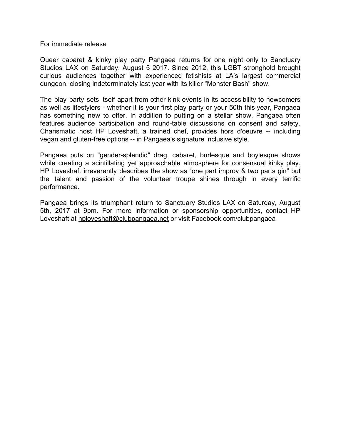## For immediate release

Queer cabaret & kinky play party Pangaea returns for one night only to Sanctuary Studios LAX on Saturday, August 5 2017. Since 2012, this LGBT stronghold brought curious audiences together with experienced fetishists at LA's largest commercial dungeon, closing indeterminately last year with its killer "Monster Bash" show.

The play party sets itself apart from other kink events in its accessibility to newcomers as well as lifestylers - whether it is your first play party or your 50th this year, Pangaea has something new to offer. In addition to putting on a stellar show, Pangaea often features audience participation and round-table discussions on consent and safety. Charismatic host HP Loveshaft, a trained chef, provides hors d'oeuvre -- including vegan and gluten-free options -- in Pangaea's signature inclusive style.

Pangaea puts on "gender-splendid" drag, cabaret, burlesque and boylesque shows while creating a scintillating yet approachable atmosphere for consensual kinky play. HP Loveshaft irreverently describes the show as "one part improv & two parts gin" but the talent and passion of the volunteer troupe shines through in every terrific performance.

Pangaea brings its triumphant return to Sanctuary Studios LAX on Saturday, August 5th, 2017 at 9pm. For more information or sponsorship opportunities, contact HP Loveshaft at [hploveshaft@clubpangaea.net](mailto:hploveshaft@clubpangaea.net) or visit Facebook.com/clubpangaea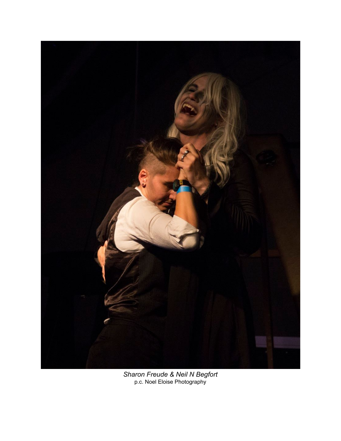

*Sharon Freude & Neil N Begfort* p.c. Noel Eloise Photography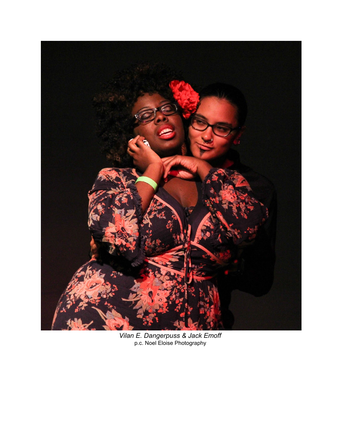

*Vilan E. Dangerpuss & Jack Emoff* p.c. Noel Eloise Photography